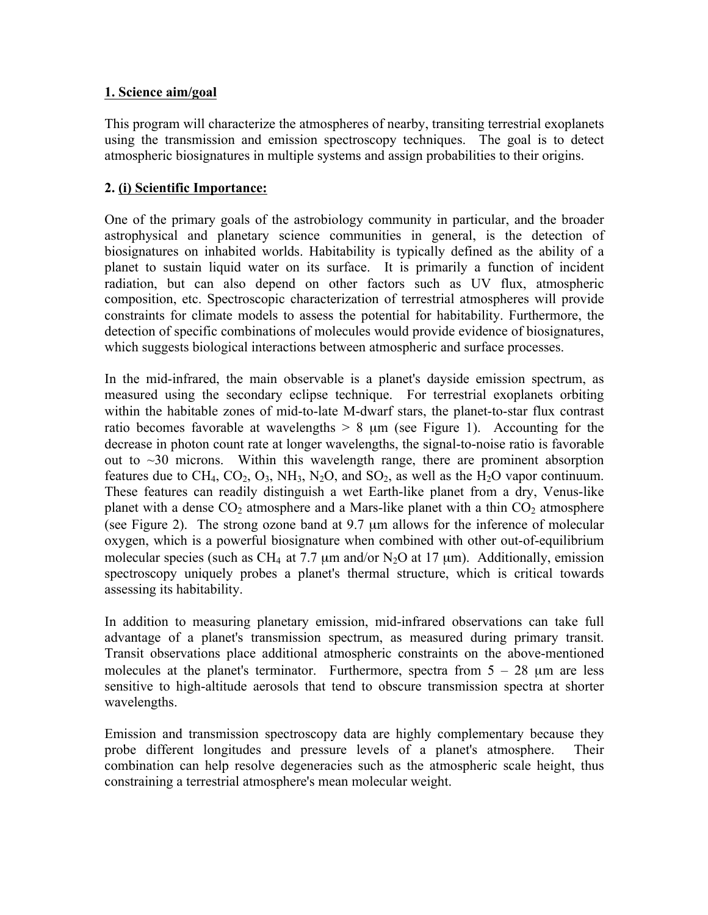#### **1. Science aim/goal**

This program will characterize the atmospheres of nearby, transiting terrestrial exoplanets using the transmission and emission spectroscopy techniques. The goal is to detect atmospheric biosignatures in multiple systems and assign probabilities to their origins.

## **2. (i) Scientific Importance:**

One of the primary goals of the astrobiology community in particular, and the broader astrophysical and planetary science communities in general, is the detection of biosignatures on inhabited worlds. Habitability is typically defined as the ability of a planet to sustain liquid water on its surface. It is primarily a function of incident radiation, but can also depend on other factors such as UV flux, atmospheric composition, etc. Spectroscopic characterization of terrestrial atmospheres will provide constraints for climate models to assess the potential for habitability. Furthermore, the detection of specific combinations of molecules would provide evidence of biosignatures, which suggests biological interactions between atmospheric and surface processes.

In the mid-infrared, the main observable is a planet's dayside emission spectrum, as measured using the secondary eclipse technique. For terrestrial exoplanets orbiting within the habitable zones of mid-to-late M-dwarf stars, the planet-to-star flux contrast ratio becomes favorable at wavelengths  $> 8 \mu m$  (see Figure 1). Accounting for the decrease in photon count rate at longer wavelengths, the signal-to-noise ratio is favorable out to  $\sim$ 30 microns. Within this wavelength range, there are prominent absorption features due to  $CH_4$ ,  $CO_2$ ,  $O_3$ ,  $NH_3$ ,  $N_2O$ , and  $SO_2$ , as well as the  $H_2O$  vapor continuum. These features can readily distinguish a wet Earth-like planet from a dry, Venus-like planet with a dense  $CO<sub>2</sub>$  atmosphere and a Mars-like planet with a thin  $CO<sub>2</sub>$  atmosphere (see Figure 2). The strong ozone band at 9.7 µm allows for the inference of molecular oxygen, which is a powerful biosignature when combined with other out-of-equilibrium molecular species (such as CH<sub>4</sub> at 7.7  $\mu$ m and/or N<sub>2</sub>O at 17  $\mu$ m). Additionally, emission spectroscopy uniquely probes a planet's thermal structure, which is critical towards assessing its habitability.

In addition to measuring planetary emission, mid-infrared observations can take full advantage of a planet's transmission spectrum, as measured during primary transit. Transit observations place additional atmospheric constraints on the above-mentioned molecules at the planet's terminator. Furthermore, spectra from  $5 - 28$  µm are less sensitive to high-altitude aerosols that tend to obscure transmission spectra at shorter wavelengths.

Emission and transmission spectroscopy data are highly complementary because they probe different longitudes and pressure levels of a planet's atmosphere. Their combination can help resolve degeneracies such as the atmospheric scale height, thus constraining a terrestrial atmosphere's mean molecular weight.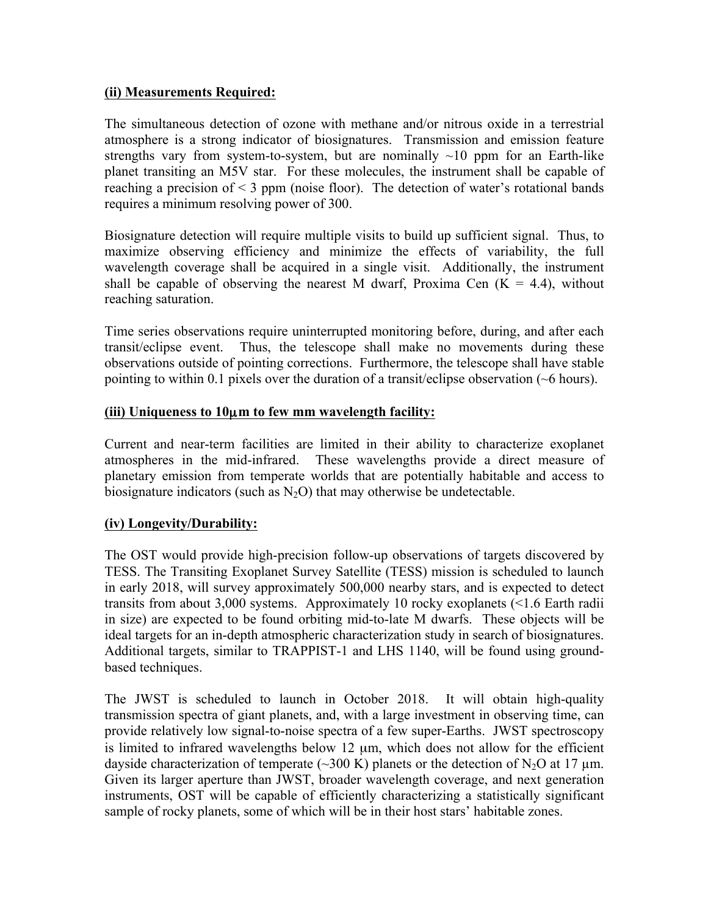### **(ii) Measurements Required:**

The simultaneous detection of ozone with methane and/or nitrous oxide in a terrestrial atmosphere is a strong indicator of biosignatures. Transmission and emission feature strengths vary from system-to-system, but are nominally  $\sim 10$  ppm for an Earth-like planet transiting an M5V star. For these molecules, the instrument shall be capable of reaching a precision of  $\leq$  3 ppm (noise floor). The detection of water's rotational bands requires a minimum resolving power of 300.

Biosignature detection will require multiple visits to build up sufficient signal. Thus, to maximize observing efficiency and minimize the effects of variability, the full wavelength coverage shall be acquired in a single visit. Additionally, the instrument shall be capable of observing the nearest M dwarf, Proxima Cen  $(K = 4.4)$ , without reaching saturation.

Time series observations require uninterrupted monitoring before, during, and after each transit/eclipse event. Thus, the telescope shall make no movements during these observations outside of pointing corrections. Furthermore, the telescope shall have stable pointing to within 0.1 pixels over the duration of a transit/eclipse observation (~6 hours).

#### **(iii) Uniqueness to 10**µ**m to few mm wavelength facility:**

Current and near-term facilities are limited in their ability to characterize exoplanet atmospheres in the mid-infrared. These wavelengths provide a direct measure of planetary emission from temperate worlds that are potentially habitable and access to biosignature indicators (such as  $N_2O$ ) that may otherwise be undetectable.

## **(iv) Longevity/Durability:**

The OST would provide high-precision follow-up observations of targets discovered by TESS. The Transiting Exoplanet Survey Satellite (TESS) mission is scheduled to launch in early 2018, will survey approximately 500,000 nearby stars, and is expected to detect transits from about 3,000 systems. Approximately 10 rocky exoplanets (<1.6 Earth radii in size) are expected to be found orbiting mid-to-late M dwarfs. These objects will be ideal targets for an in-depth atmospheric characterization study in search of biosignatures. Additional targets, similar to TRAPPIST-1 and LHS 1140, will be found using groundbased techniques.

The JWST is scheduled to launch in October 2018. It will obtain high-quality transmission spectra of giant planets, and, with a large investment in observing time, can provide relatively low signal-to-noise spectra of a few super-Earths. JWST spectroscopy is limited to infrared wavelengths below 12 µm, which does not allow for the efficient dayside characterization of temperate (~300 K) planets or the detection of N<sub>2</sub>O at 17  $\mu$ m. Given its larger aperture than JWST, broader wavelength coverage, and next generation instruments, OST will be capable of efficiently characterizing a statistically significant sample of rocky planets, some of which will be in their host stars' habitable zones.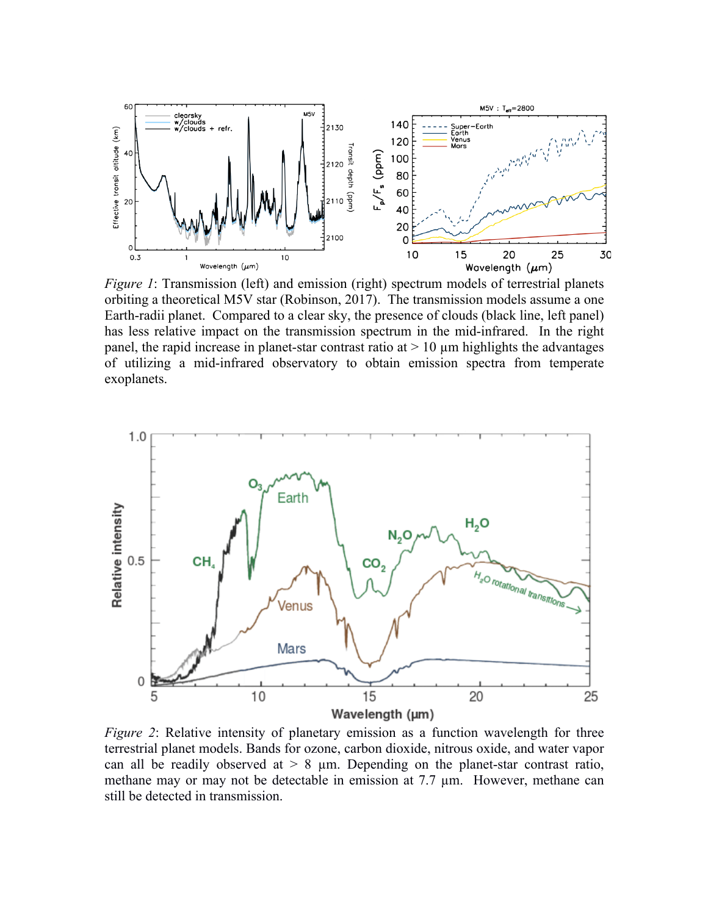

*Figure 1*: Transmission (left) and emission (right) spectrum models of terrestrial planets orbiting a theoretical M5V star (Robinson, 2017). The transmission models assume a one Earth-radii planet. Compared to a clear sky, the presence of clouds (black line, left panel) has less relative impact on the transmission spectrum in the mid-infrared. In the right panel, the rapid increase in planet-star contrast ratio at  $> 10 \mu m$  highlights the advantages of utilizing a mid-infrared observatory to obtain emission spectra from temperate exoplanets.



*Figure* 2: Relative intensity of planetary emission as a function wavelength for three terrestrial planet models. Bands for ozone, carbon dioxide, nitrous oxide, and water vapor can all be readily observed at  $> 8$  µm. Depending on the planet-star contrast ratio, methane may or may not be detectable in emission at 7.7 µm. However, methane can still be detected in transmission.